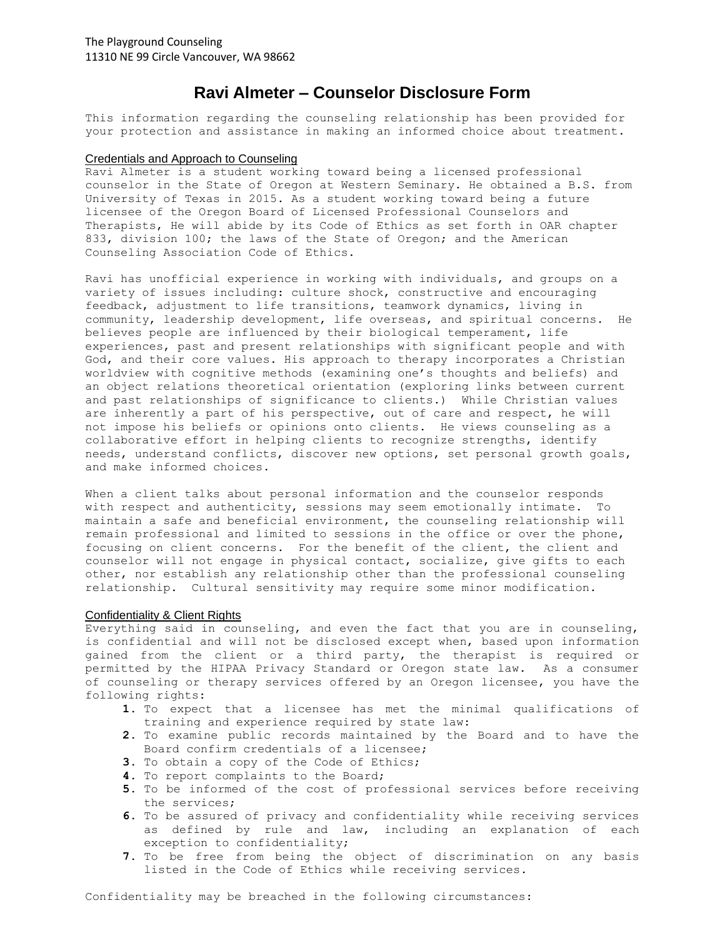# **Ravi Almeter – Counselor Disclosure Form**

This information regarding the counseling relationship has been provided for your protection and assistance in making an informed choice about treatment.

#### Credentials and Approach to Counseling

Ravi Almeter is a student working toward being a licensed professional counselor in the State of Oregon at Western Seminary. He obtained a B.S. from University of Texas in 2015. As a student working toward being a future licensee of the Oregon Board of Licensed Professional Counselors and Therapists, He will abide by its Code of Ethics as set forth in OAR chapter 833, division 100; the laws of the State of Oregon; and the American Counseling Association Code of Ethics.

Ravi has unofficial experience in working with individuals, and groups on a variety of issues including: culture shock, constructive and encouraging feedback, adjustment to life transitions, teamwork dynamics, living in community, leadership development, life overseas, and spiritual concerns. He believes people are influenced by their biological temperament, life experiences, past and present relationships with significant people and with God, and their core values. His approach to therapy incorporates a Christian worldview with cognitive methods (examining one's thoughts and beliefs) and an object relations theoretical orientation (exploring links between current and past relationships of significance to clients.) While Christian values are inherently a part of his perspective, out of care and respect, he will not impose his beliefs or opinions onto clients. He views counseling as a collaborative effort in helping clients to recognize strengths, identify needs, understand conflicts, discover new options, set personal growth goals, and make informed choices.

When a client talks about personal information and the counselor responds with respect and authenticity, sessions may seem emotionally intimate. To maintain a safe and beneficial environment, the counseling relationship will remain professional and limited to sessions in the office or over the phone, focusing on client concerns. For the benefit of the client, the client and counselor will not engage in physical contact, socialize, give gifts to each other, nor establish any relationship other than the professional counseling relationship. Cultural sensitivity may require some minor modification.

#### Confidentiality & Client Rights

Everything said in counseling, and even the fact that you are in counseling, is confidential and will not be disclosed except when, based upon information gained from the client or a third party, the therapist is required or permitted by the HIPAA Privacy Standard or Oregon state law. As a consumer of counseling or therapy services offered by an Oregon licensee, you have the following rights:

- **1.** To expect that a licensee has met the minimal qualifications of training and experience required by state law:
- **2.** To examine public records maintained by the Board and to have the Board confirm credentials of a licensee;
- **3.** To obtain a copy of the Code of Ethics;
- **4.** To report complaints to the Board;
- **5.** To be informed of the cost of professional services before receiving the services;
- **6.** To be assured of privacy and confidentiality while receiving services as defined by rule and law, including an explanation of each exception to confidentiality;
- **7.** To be free from being the object of discrimination on any basis listed in the Code of Ethics while receiving services.

Confidentiality may be breached in the following circumstances: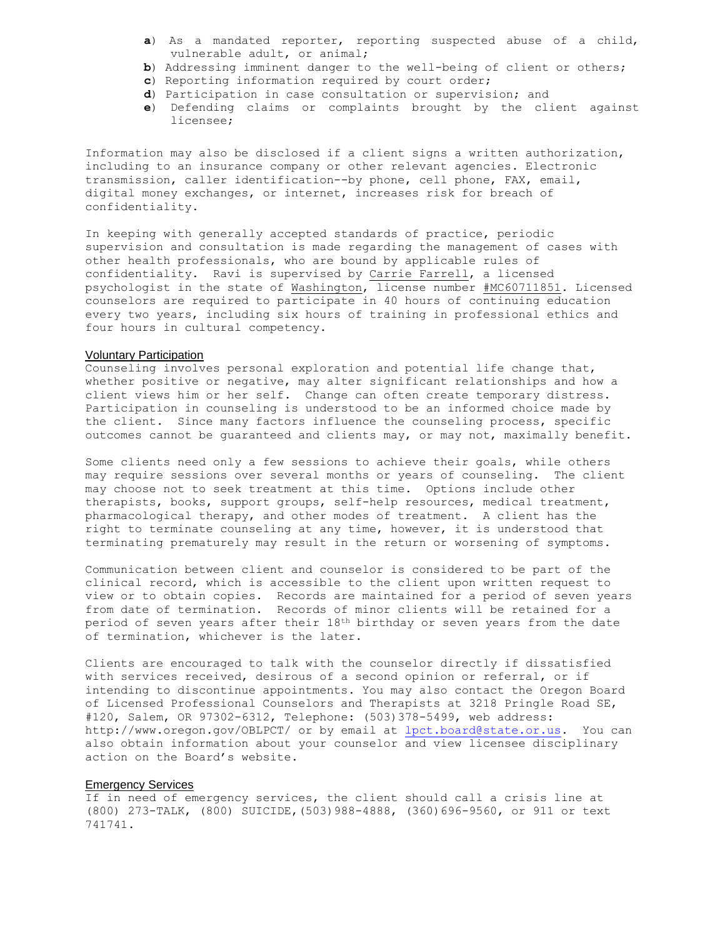- **a**) As a mandated reporter, reporting suspected abuse of a child, vulnerable adult, or animal;
- **b**) Addressing imminent danger to the well-being of client or others;
- **c**) Reporting information required by court order;
- **d**) Participation in case consultation or supervision; and
- **e**) Defending claims or complaints brought by the client against licensee;

Information may also be disclosed if a client signs a written authorization, including to an insurance company or other relevant agencies. Electronic transmission, caller identification--by phone, cell phone, FAX, email, digital money exchanges, or internet, increases risk for breach of confidentiality.

In keeping with generally accepted standards of practice, periodic supervision and consultation is made regarding the management of cases with other health professionals, who are bound by applicable rules of confidentiality. Ravi is supervised by Carrie Farrell, a licensed psychologist in the state of Washington, license number #MC60711851. Licensed counselors are required to participate in 40 hours of continuing education every two years, including six hours of training in professional ethics and four hours in cultural competency.

#### Voluntary Participation

Counseling involves personal exploration and potential life change that, whether positive or negative, may alter significant relationships and how a client views him or her self. Change can often create temporary distress. Participation in counseling is understood to be an informed choice made by the client. Since many factors influence the counseling process, specific outcomes cannot be guaranteed and clients may, or may not, maximally benefit.

Some clients need only a few sessions to achieve their goals, while others may require sessions over several months or years of counseling. The client may choose not to seek treatment at this time. Options include other therapists, books, support groups, self-help resources, medical treatment, pharmacological therapy, and other modes of treatment. A client has the right to terminate counseling at any time, however, it is understood that terminating prematurely may result in the return or worsening of symptoms.

Communication between client and counselor is considered to be part of the clinical record, which is accessible to the client upon written request to view or to obtain copies. Records are maintained for a period of seven years from date of termination. Records of minor clients will be retained for a period of seven years after their 18th birthday or seven years from the date of termination, whichever is the later.

Clients are encouraged to talk with the counselor directly if dissatisfied with services received, desirous of a second opinion or referral, or if intending to discontinue appointments. You may also contact the Oregon Board of Licensed Professional Counselors and Therapists at 3218 Pringle Road SE, #120, Salem, OR 97302-6312, Telephone: (503)378-5499, web address: http://www.oregon.gov/OBLPCT/ or by email at [lpct.board@state.or.us.](mailto:lpct.board@state.or.us) You can also obtain information about your counselor and view licensee disciplinary action on the Board's website.

### Emergency Services

If in need of emergency services, the client should call a crisis line at (800) 273-TALK, (800) SUICIDE,(503)988-4888, (360)696-9560, or 911 or text 741741.